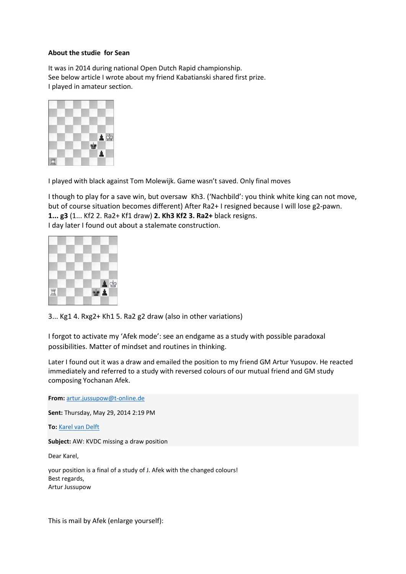## **About the studie for Sean**

It was in 2014 during national Open Dutch Rapid championship. See below article I wrote about my friend Kabatianski shared first prize. I played in amateur section.



I played with black against Tom Molewijk. Game wasn't saved. Only final moves

I though to play for a save win, but oversaw Kh3. ('Nachbild': you think white king can not move, but of course situation becomes different) After Ra2+ I resigned because I will lose g2-pawn. **1... g3** (1... Kf2 2. Ra2+ Kf1 draw) **2. Kh3 Kf2 3. Ra2+** black resigns. I day later I found out about a stalemate construction.



3... Kg1 4. Rxg2+ Kh1 5. Ra2 g2 draw (also in other variations)

I forgot to activate my 'Afek mode': see an endgame as a study with possible paradoxal possibilities. Matter of mindset and routines in thinking.

Later I found out it was a draw and emailed the position to my friend GM Artur Yusupov. He reacted immediately and referred to a study with reversed colours of our mutual friend and GM study composing Yochanan Afek.

**From:** [artur.jussupow@t-online.de](mailto:artur.jussupow@t-online.de)

**Sent:** Thursday, May 29, 2014 2:19 PM

**To:** [Karel van Delft](mailto:k.vandelft@planet.nl)

**Subject:** AW: KVDC missing a draw position

Dear Karel,

your position is a final of a study of J. Afek with the changed colours! Best regards, Artur Jussupow

This is mail by Afek (enlarge yourself):